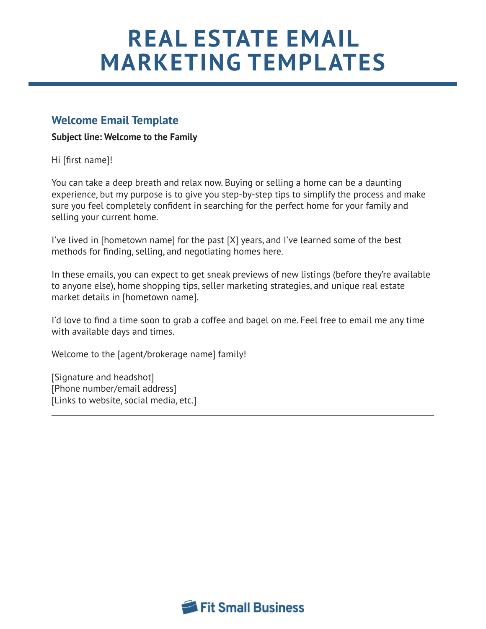# **REAL ESTATE EMAIL MARKETING TEMPLATES**

## **Welcome Email Template**

#### **Subject line: Welcome to the Family**

Hi [first name]!

You can take a deep breath and relax now. Buying or selling a home can be a daunting experience, but my purpose is to give you step-by-step tips to simplify the process and make sure you feel completely confident in searching for the perfect home for your family and selling your current home.

I've lived in [hometown name] for the past [X] years, and I've learned some of the best methods for finding, selling, and negotiating homes here.

In these emails, you can expect to get sneak previews of new listings (before they're available to anyone else), home shopping tips, seller marketing strategies, and unique real estate market details in [hometown name].

I'd love to find a time soon to grab a coffee and bagel on me. Feel free to email me any time with available days and times.

Welcome to the [agent/brokerage name] family!

[Signature and headshot] [Phone number/email address] [Links to website, social media, etc.]

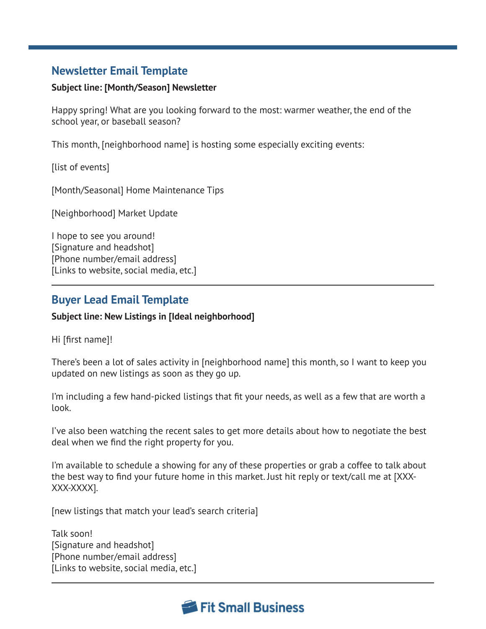## **Newsletter Email Template**

#### **Subject line: [Month/Season] Newsletter**

Happy spring! What are you looking forward to the most: warmer weather, the end of the school year, or baseball season?

This month, [neighborhood name] is hosting some especially exciting events:

[list of events]

[Month/Seasonal] Home Maintenance Tips

[Neighborhood] Market Update

I hope to see you around! [Signature and headshot] [Phone number/email address] [Links to website, social media, etc.]

## **Buyer Lead Email Template**

#### **Subject line: New Listings in [Ideal neighborhood]**

Hi [first name]!

There's been a lot of sales activity in [neighborhood name] this month, so I want to keep you updated on new listings as soon as they go up.

I'm including a few hand-picked listings that fit your needs, as well as a few that are worth a look.

I've also been watching the recent sales to get more details about how to negotiate the best deal when we find the right property for you.

I'm available to schedule a showing for any of these properties or grab a coffee to talk about the best way to find your future home in this market. Just hit reply or text/call me at [XXX-XXX-XXXX].

[new listings that match your lead's search criteria]

Talk soon! [Signature and headshot] [Phone number/email address] [Links to website, social media, etc.]

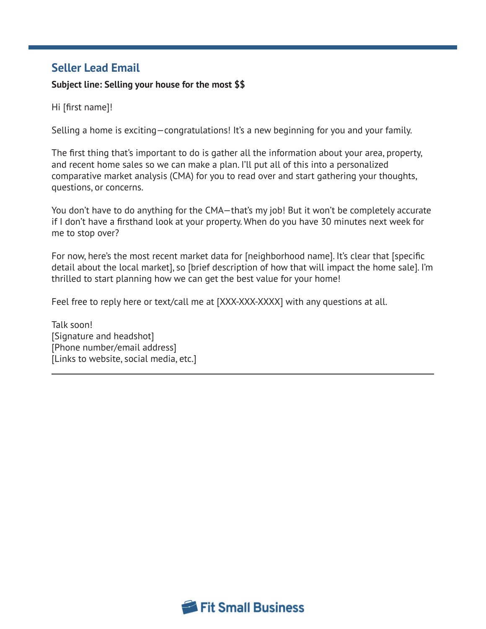## **Seller Lead Email**

#### **Subject line: Selling your house for the most \$\$**

Hi [first name]!

Selling a home is exciting—congratulations! It's a new beginning for you and your family.

The first thing that's important to do is gather all the information about your area, property, and recent home sales so we can make a plan. I'll put all of this into a personalized comparative market analysis (CMA) for you to read over and start gathering your thoughts, questions, or concerns.

You don't have to do anything for the CMA—that's my job! But it won't be completely accurate if I don't have a firsthand look at your property. When do you have 30 minutes next week for me to stop over?

For now, here's the most recent market data for [neighborhood name]. It's clear that [specific detail about the local market], so [brief description of how that will impact the home sale]. I'm thrilled to start planning how we can get the best value for your home!

Feel free to reply here or text/call me at [XXX-XXX-XXXX] with any questions at all.

Talk soon! [Signature and headshot] [Phone number/email address] [Links to website, social media, etc.]

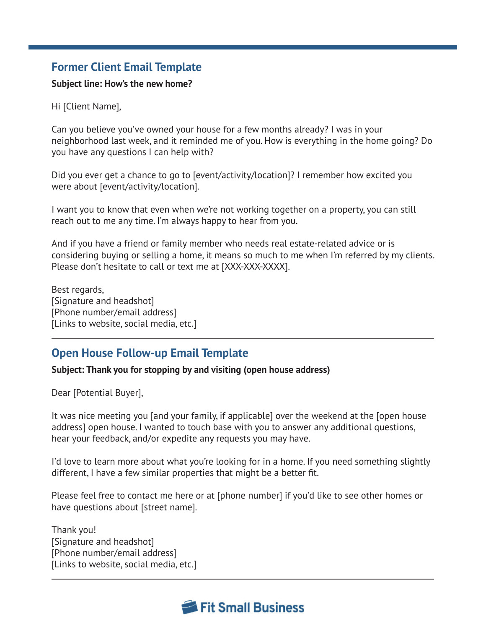## **Former Client Email Template**

#### **Subject line: How's the new home?**

Hi [Client Name],

Can you believe you've owned your house for a few months already? I was in your neighborhood last week, and it reminded me of you. How is everything in the home going? Do you have any questions I can help with?

Did you ever get a chance to go to [event/activity/location]? I remember how excited you were about [event/activity/location].

I want you to know that even when we're not working together on a property, you can still reach out to me any time. I'm always happy to hear from you.

And if you have a friend or family member who needs real estate-related advice or is considering buying or selling a home, it means so much to me when I'm referred by my clients. Please don't hesitate to call or text me at [XXX-XXX-XXXX].

Best regards, [Signature and headshot] [Phone number/email address] [Links to website, social media, etc.]

# **Open House Follow-up Email Template**

#### **Subject: Thank you for stopping by and visiting (open house address)**

Dear [Potential Buyer],

It was nice meeting you [and your family, if applicable] over the weekend at the [open house address] open house. I wanted to touch base with you to answer any additional questions, hear your feedback, and/or expedite any requests you may have.

I'd love to learn more about what you're looking for in a home. If you need something slightly different, I have a few similar properties that might be a better fit.

Please feel free to contact me here or at [phone number] if you'd like to see other homes or have questions about [street name].

Thank you! [Signature and headshot] [Phone number/email address] [Links to website, social media, etc.]